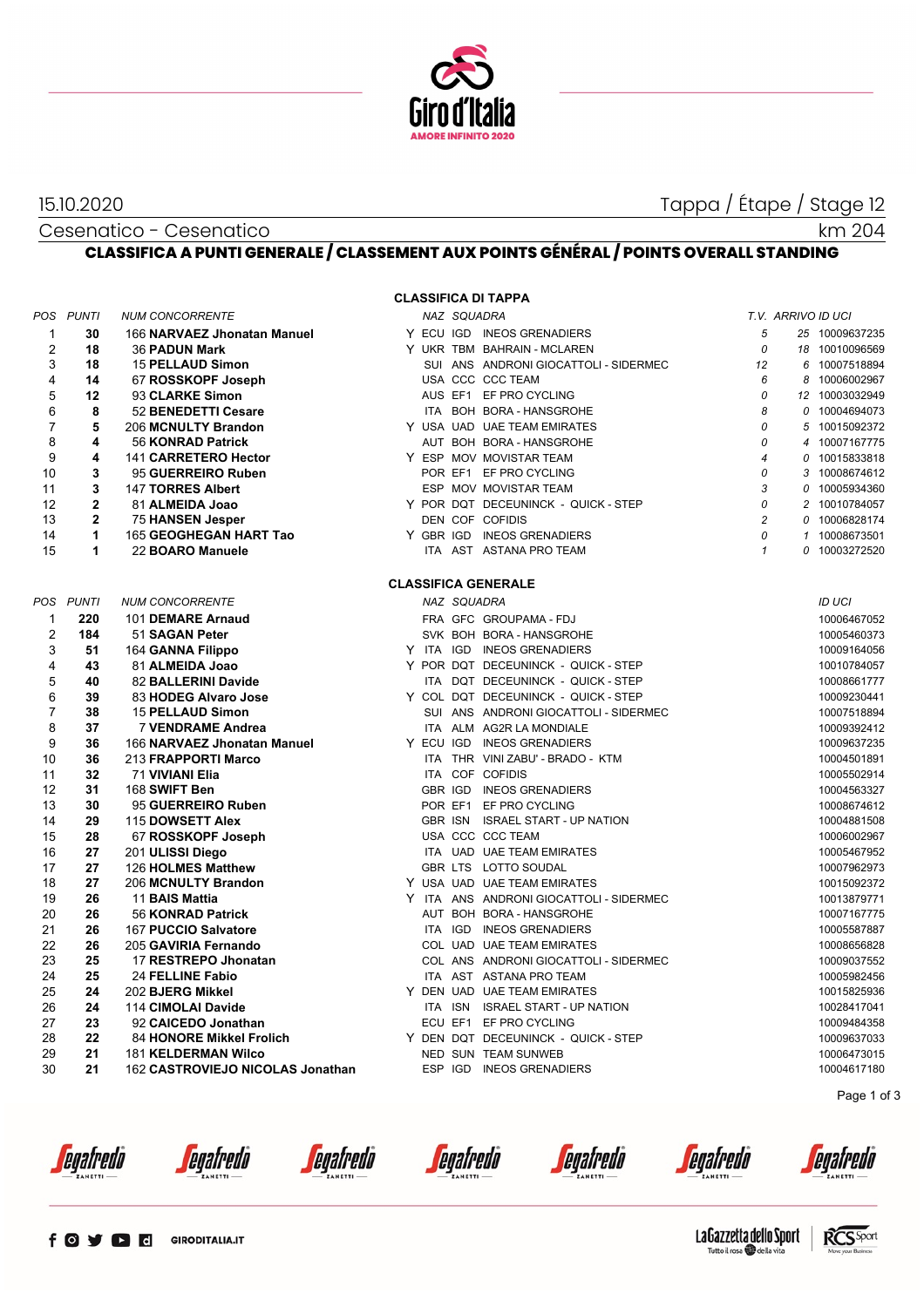

15.10.2020 Tappa / Étape / Stage 12

km 204

#### Cesenatico - Cesenatico **CLASSIFICA A PUNTI GENERALE / CLASSEMENT AUX POINTS GÉNÉRAL / POINTS OVERALL STANDING**

**CLASSIFICA DI TAPPA**

| $\mathbf{1}$<br>Y ECU IGD INEOS GRENADIERS<br>5<br>30<br>166 NARVAEZ Jhonatan Manuel<br>25 10009637235<br>$\overline{2}$<br>18<br>Y UKR TBM BAHRAIN - MCLAREN<br>0<br><b>36 PADUN Mark</b><br>18 10010096569<br>3<br>18<br>SUI ANS ANDRONI GIOCATTOLI - SIDERMEC<br><b>15 PELLAUD Simon</b><br>12<br>6 10007518894<br>$\overline{4}$<br>USA CCC CCC TEAM<br>6<br>14<br>67 ROSSKOPF Joseph<br>8 10006002967<br>5<br>12<br>93 CLARKE Simon<br>AUS EF1 EF PRO CYCLING<br>0<br>12 10003032949<br>6<br>8<br>8<br>52 BENEDETTI Cesare<br>ITA BOH BORA - HANSGROHE<br>0 10004694073<br>$\overline{7}$<br>5<br>Y USA UAD UAE TEAM EMIRATES<br>0<br>206 MCNULTY Brandon<br>5 10015092372<br>8<br>4<br>0<br>56 KONRAD Patrick<br>AUT BOH BORA - HANSGROHE<br>4 10007167775<br>9<br>4<br>141 CARRETERO Hector<br>Y ESP MOV MOVISTAR TEAM<br>$\overline{4}$<br>0 10015833818<br>10<br>3<br>POR EF1 EF PRO CYCLING<br>0<br>95 GUERREIRO Ruben<br>3 10008674612<br>3<br>3<br>11<br><b>147 TORRES Albert</b><br>ESP MOV MOVISTAR TEAM<br>0 10005934360<br>$\overline{2}$<br>0<br>Y POR DQT DECEUNINCK - QUICK - STEP<br>12<br>81 ALMEIDA Joao<br>2 10010784057<br>$\mathbf{2}$<br>$\overline{c}$<br>13<br>DEN COF COFIDIS<br><b>75 HANSEN Jesper</b><br>0 10006828174<br>14<br>1<br>Y GBR IGD INEOS GRENADIERS<br>0<br>165 GEOGHEGAN HART Tao<br>1 10008673501<br>15<br>1<br>22 BOARO Manuele<br>ITA AST ASTANA PRO TEAM<br>$\mathbf{1}$<br>0 10003272520<br><b>CLASSIFICA GENERALE</b> |  |
|--------------------------------------------------------------------------------------------------------------------------------------------------------------------------------------------------------------------------------------------------------------------------------------------------------------------------------------------------------------------------------------------------------------------------------------------------------------------------------------------------------------------------------------------------------------------------------------------------------------------------------------------------------------------------------------------------------------------------------------------------------------------------------------------------------------------------------------------------------------------------------------------------------------------------------------------------------------------------------------------------------------------------------------------------------------------------------------------------------------------------------------------------------------------------------------------------------------------------------------------------------------------------------------------------------------------------------------------------------------------------------------------------------------------------------------------------------------------------|--|
|                                                                                                                                                                                                                                                                                                                                                                                                                                                                                                                                                                                                                                                                                                                                                                                                                                                                                                                                                                                                                                                                                                                                                                                                                                                                                                                                                                                                                                                                          |  |
|                                                                                                                                                                                                                                                                                                                                                                                                                                                                                                                                                                                                                                                                                                                                                                                                                                                                                                                                                                                                                                                                                                                                                                                                                                                                                                                                                                                                                                                                          |  |
|                                                                                                                                                                                                                                                                                                                                                                                                                                                                                                                                                                                                                                                                                                                                                                                                                                                                                                                                                                                                                                                                                                                                                                                                                                                                                                                                                                                                                                                                          |  |
|                                                                                                                                                                                                                                                                                                                                                                                                                                                                                                                                                                                                                                                                                                                                                                                                                                                                                                                                                                                                                                                                                                                                                                                                                                                                                                                                                                                                                                                                          |  |
|                                                                                                                                                                                                                                                                                                                                                                                                                                                                                                                                                                                                                                                                                                                                                                                                                                                                                                                                                                                                                                                                                                                                                                                                                                                                                                                                                                                                                                                                          |  |
|                                                                                                                                                                                                                                                                                                                                                                                                                                                                                                                                                                                                                                                                                                                                                                                                                                                                                                                                                                                                                                                                                                                                                                                                                                                                                                                                                                                                                                                                          |  |
|                                                                                                                                                                                                                                                                                                                                                                                                                                                                                                                                                                                                                                                                                                                                                                                                                                                                                                                                                                                                                                                                                                                                                                                                                                                                                                                                                                                                                                                                          |  |
|                                                                                                                                                                                                                                                                                                                                                                                                                                                                                                                                                                                                                                                                                                                                                                                                                                                                                                                                                                                                                                                                                                                                                                                                                                                                                                                                                                                                                                                                          |  |
|                                                                                                                                                                                                                                                                                                                                                                                                                                                                                                                                                                                                                                                                                                                                                                                                                                                                                                                                                                                                                                                                                                                                                                                                                                                                                                                                                                                                                                                                          |  |
|                                                                                                                                                                                                                                                                                                                                                                                                                                                                                                                                                                                                                                                                                                                                                                                                                                                                                                                                                                                                                                                                                                                                                                                                                                                                                                                                                                                                                                                                          |  |
|                                                                                                                                                                                                                                                                                                                                                                                                                                                                                                                                                                                                                                                                                                                                                                                                                                                                                                                                                                                                                                                                                                                                                                                                                                                                                                                                                                                                                                                                          |  |
|                                                                                                                                                                                                                                                                                                                                                                                                                                                                                                                                                                                                                                                                                                                                                                                                                                                                                                                                                                                                                                                                                                                                                                                                                                                                                                                                                                                                                                                                          |  |
|                                                                                                                                                                                                                                                                                                                                                                                                                                                                                                                                                                                                                                                                                                                                                                                                                                                                                                                                                                                                                                                                                                                                                                                                                                                                                                                                                                                                                                                                          |  |
|                                                                                                                                                                                                                                                                                                                                                                                                                                                                                                                                                                                                                                                                                                                                                                                                                                                                                                                                                                                                                                                                                                                                                                                                                                                                                                                                                                                                                                                                          |  |
|                                                                                                                                                                                                                                                                                                                                                                                                                                                                                                                                                                                                                                                                                                                                                                                                                                                                                                                                                                                                                                                                                                                                                                                                                                                                                                                                                                                                                                                                          |  |
|                                                                                                                                                                                                                                                                                                                                                                                                                                                                                                                                                                                                                                                                                                                                                                                                                                                                                                                                                                                                                                                                                                                                                                                                                                                                                                                                                                                                                                                                          |  |
|                                                                                                                                                                                                                                                                                                                                                                                                                                                                                                                                                                                                                                                                                                                                                                                                                                                                                                                                                                                                                                                                                                                                                                                                                                                                                                                                                                                                                                                                          |  |
| POS PUNTI<br>NAZ SQUADRA<br>ID UCI<br><b>NUM CONCORRENTE</b>                                                                                                                                                                                                                                                                                                                                                                                                                                                                                                                                                                                                                                                                                                                                                                                                                                                                                                                                                                                                                                                                                                                                                                                                                                                                                                                                                                                                             |  |
| 220<br>FRA GFC GROUPAMA - FDJ<br>$\mathbf{1}$<br>101 DEMARE Arnaud<br>10006467052                                                                                                                                                                                                                                                                                                                                                                                                                                                                                                                                                                                                                                                                                                                                                                                                                                                                                                                                                                                                                                                                                                                                                                                                                                                                                                                                                                                        |  |
| $\overline{2}$<br>184<br>51 SAGAN Peter<br>SVK BOH BORA - HANSGROHE<br>10005460373                                                                                                                                                                                                                                                                                                                                                                                                                                                                                                                                                                                                                                                                                                                                                                                                                                                                                                                                                                                                                                                                                                                                                                                                                                                                                                                                                                                       |  |
| 3<br>51<br>164 GANNA Filippo<br>Y ITA IGD INEOS GRENADIERS<br>10009164056                                                                                                                                                                                                                                                                                                                                                                                                                                                                                                                                                                                                                                                                                                                                                                                                                                                                                                                                                                                                                                                                                                                                                                                                                                                                                                                                                                                                |  |
| 4<br>43<br>Y POR DQT DECEUNINCK - QUICK - STEP<br>81 ALMEIDA Joao<br>10010784057                                                                                                                                                                                                                                                                                                                                                                                                                                                                                                                                                                                                                                                                                                                                                                                                                                                                                                                                                                                                                                                                                                                                                                                                                                                                                                                                                                                         |  |
| 5<br>40<br>82 BALLERINI Davide<br>ITA DQT DECEUNINCK - QUICK - STEP<br>10008661777                                                                                                                                                                                                                                                                                                                                                                                                                                                                                                                                                                                                                                                                                                                                                                                                                                                                                                                                                                                                                                                                                                                                                                                                                                                                                                                                                                                       |  |
| 6<br>Y COL DQT DECEUNINCK - QUICK - STEP<br>39<br>83 HODEG Alvaro Jose<br>10009230441                                                                                                                                                                                                                                                                                                                                                                                                                                                                                                                                                                                                                                                                                                                                                                                                                                                                                                                                                                                                                                                                                                                                                                                                                                                                                                                                                                                    |  |
| $\overline{7}$<br>38<br>SUI ANS ANDRONI GIOCATTOLI - SIDERMEC<br><b>15 PELLAUD Simon</b><br>10007518894                                                                                                                                                                                                                                                                                                                                                                                                                                                                                                                                                                                                                                                                                                                                                                                                                                                                                                                                                                                                                                                                                                                                                                                                                                                                                                                                                                  |  |
| 8<br>37<br>ITA ALM AG2R LA MONDIALE<br><b>7 VENDRAME Andrea</b><br>10009392412                                                                                                                                                                                                                                                                                                                                                                                                                                                                                                                                                                                                                                                                                                                                                                                                                                                                                                                                                                                                                                                                                                                                                                                                                                                                                                                                                                                           |  |
| 9<br>Y ECU IGD INEOS GRENADIERS<br>36<br>166 NARVAEZ Jhonatan Manuel<br>10009637235                                                                                                                                                                                                                                                                                                                                                                                                                                                                                                                                                                                                                                                                                                                                                                                                                                                                                                                                                                                                                                                                                                                                                                                                                                                                                                                                                                                      |  |
| 10<br>36<br>213 FRAPPORTI Marco<br>ITA THR VINI ZABU' - BRADO - KTM<br>10004501891                                                                                                                                                                                                                                                                                                                                                                                                                                                                                                                                                                                                                                                                                                                                                                                                                                                                                                                                                                                                                                                                                                                                                                                                                                                                                                                                                                                       |  |
| 11<br>32<br><b>71 VIVIANI Elia</b><br>ITA COF COFIDIS<br>10005502914                                                                                                                                                                                                                                                                                                                                                                                                                                                                                                                                                                                                                                                                                                                                                                                                                                                                                                                                                                                                                                                                                                                                                                                                                                                                                                                                                                                                     |  |
| 12<br>31<br>168 SWIFT Ben<br>GBR IGD INEOS GRENADIERS<br>10004563327<br>30                                                                                                                                                                                                                                                                                                                                                                                                                                                                                                                                                                                                                                                                                                                                                                                                                                                                                                                                                                                                                                                                                                                                                                                                                                                                                                                                                                                               |  |
| 13<br>POR EF1 EF PRO CYCLING<br>95 GUERREIRO Ruben<br>10008674612<br>14<br>29<br>GBR ISN ISRAEL START - UP NATION                                                                                                                                                                                                                                                                                                                                                                                                                                                                                                                                                                                                                                                                                                                                                                                                                                                                                                                                                                                                                                                                                                                                                                                                                                                                                                                                                        |  |
| 115 DOWSETT Alex<br>10004881508<br>USA CCC CCC TEAM                                                                                                                                                                                                                                                                                                                                                                                                                                                                                                                                                                                                                                                                                                                                                                                                                                                                                                                                                                                                                                                                                                                                                                                                                                                                                                                                                                                                                      |  |
| 15<br>28<br>67 ROSSKOPF Joseph<br>10006002967<br>16<br>27<br>ITA UAD UAE TEAM EMIRATES<br>10005467952                                                                                                                                                                                                                                                                                                                                                                                                                                                                                                                                                                                                                                                                                                                                                                                                                                                                                                                                                                                                                                                                                                                                                                                                                                                                                                                                                                    |  |
| 201 ULISSI Diego<br>17<br>27<br>126 HOLMES Matthew<br>GBR LTS LOTTO SOUDAL<br>10007962973                                                                                                                                                                                                                                                                                                                                                                                                                                                                                                                                                                                                                                                                                                                                                                                                                                                                                                                                                                                                                                                                                                                                                                                                                                                                                                                                                                                |  |
| 18<br>27<br>Y USA UAD UAE TEAM EMIRATES<br>206 MCNULTY Brandon<br>10015092372                                                                                                                                                                                                                                                                                                                                                                                                                                                                                                                                                                                                                                                                                                                                                                                                                                                                                                                                                                                                                                                                                                                                                                                                                                                                                                                                                                                            |  |
| 19<br>26<br>Y ITA ANS ANDRONI GIOCATTOLI - SIDERMEC<br>11 BAIS Mattia<br>10013879771                                                                                                                                                                                                                                                                                                                                                                                                                                                                                                                                                                                                                                                                                                                                                                                                                                                                                                                                                                                                                                                                                                                                                                                                                                                                                                                                                                                     |  |
| 20<br>AUT BOH BORA - HANSGROHE<br>26<br>56 KONRAD Patrick<br>10007167775                                                                                                                                                                                                                                                                                                                                                                                                                                                                                                                                                                                                                                                                                                                                                                                                                                                                                                                                                                                                                                                                                                                                                                                                                                                                                                                                                                                                 |  |
| 21<br>26<br>ITA IGD INEOS GRENADIERS<br>167 PUCCIO Salvatore<br>10005587887                                                                                                                                                                                                                                                                                                                                                                                                                                                                                                                                                                                                                                                                                                                                                                                                                                                                                                                                                                                                                                                                                                                                                                                                                                                                                                                                                                                              |  |
| 22<br>26<br>COL UAD UAE TEAM EMIRATES<br>205 GAVIRIA Fernando<br>10008656828                                                                                                                                                                                                                                                                                                                                                                                                                                                                                                                                                                                                                                                                                                                                                                                                                                                                                                                                                                                                                                                                                                                                                                                                                                                                                                                                                                                             |  |
| 23<br>25<br>17 RESTREPO Jhonatan<br>COL ANS ANDRONI GIOCATTOLI - SIDERMEC<br>10009037552                                                                                                                                                                                                                                                                                                                                                                                                                                                                                                                                                                                                                                                                                                                                                                                                                                                                                                                                                                                                                                                                                                                                                                                                                                                                                                                                                                                 |  |
| 24<br>25<br>24 FELLINE Fabio<br>ITA AST ASTANA PRO TEAM<br>10005982456                                                                                                                                                                                                                                                                                                                                                                                                                                                                                                                                                                                                                                                                                                                                                                                                                                                                                                                                                                                                                                                                                                                                                                                                                                                                                                                                                                                                   |  |
| 25<br>24<br>Y DEN UAD UAE TEAM EMIRATES<br>202 BJERG Mikkel<br>10015825936                                                                                                                                                                                                                                                                                                                                                                                                                                                                                                                                                                                                                                                                                                                                                                                                                                                                                                                                                                                                                                                                                                                                                                                                                                                                                                                                                                                               |  |
| 26<br>24<br>ITA ISN ISRAEL START - UP NATION<br>114 CIMOLAI Davide<br>10028417041                                                                                                                                                                                                                                                                                                                                                                                                                                                                                                                                                                                                                                                                                                                                                                                                                                                                                                                                                                                                                                                                                                                                                                                                                                                                                                                                                                                        |  |
| 27<br>23<br>92 CAICEDO Jonathan<br>ECU EF1 EF PRO CYCLING<br>10009484358                                                                                                                                                                                                                                                                                                                                                                                                                                                                                                                                                                                                                                                                                                                                                                                                                                                                                                                                                                                                                                                                                                                                                                                                                                                                                                                                                                                                 |  |
| 28<br>22<br>84 HONORE Mikkel Frolich<br>Y DEN DQT DECEUNINCK - QUICK - STEP<br>10009637033                                                                                                                                                                                                                                                                                                                                                                                                                                                                                                                                                                                                                                                                                                                                                                                                                                                                                                                                                                                                                                                                                                                                                                                                                                                                                                                                                                               |  |
| 29<br>21<br><b>181 KELDERMAN Wilco</b><br>NED SUN TEAM SUNWEB<br>10006473015                                                                                                                                                                                                                                                                                                                                                                                                                                                                                                                                                                                                                                                                                                                                                                                                                                                                                                                                                                                                                                                                                                                                                                                                                                                                                                                                                                                             |  |
| 30<br>21<br>162 CASTROVIEJO NICOLAS Jonathan<br>ESP IGD<br><b>INEOS GRENADIERS</b><br>10004617180                                                                                                                                                                                                                                                                                                                                                                                                                                                                                                                                                                                                                                                                                                                                                                                                                                                                                                                                                                                                                                                                                                                                                                                                                                                                                                                                                                        |  |
| Page 1 of 3                                                                                                                                                                                                                                                                                                                                                                                                                                                                                                                                                                                                                                                                                                                                                                                                                                                                                                                                                                                                                                                                                                                                                                                                                                                                                                                                                                                                                                                              |  |

*<u>egafredo</u>* 

*<u>egafredò</u>* 

*<u>egafredò</u>* 

*<u>egafredo</u>* 

*<u>egafredò</u>* 

*<u>egafredo</u>* 



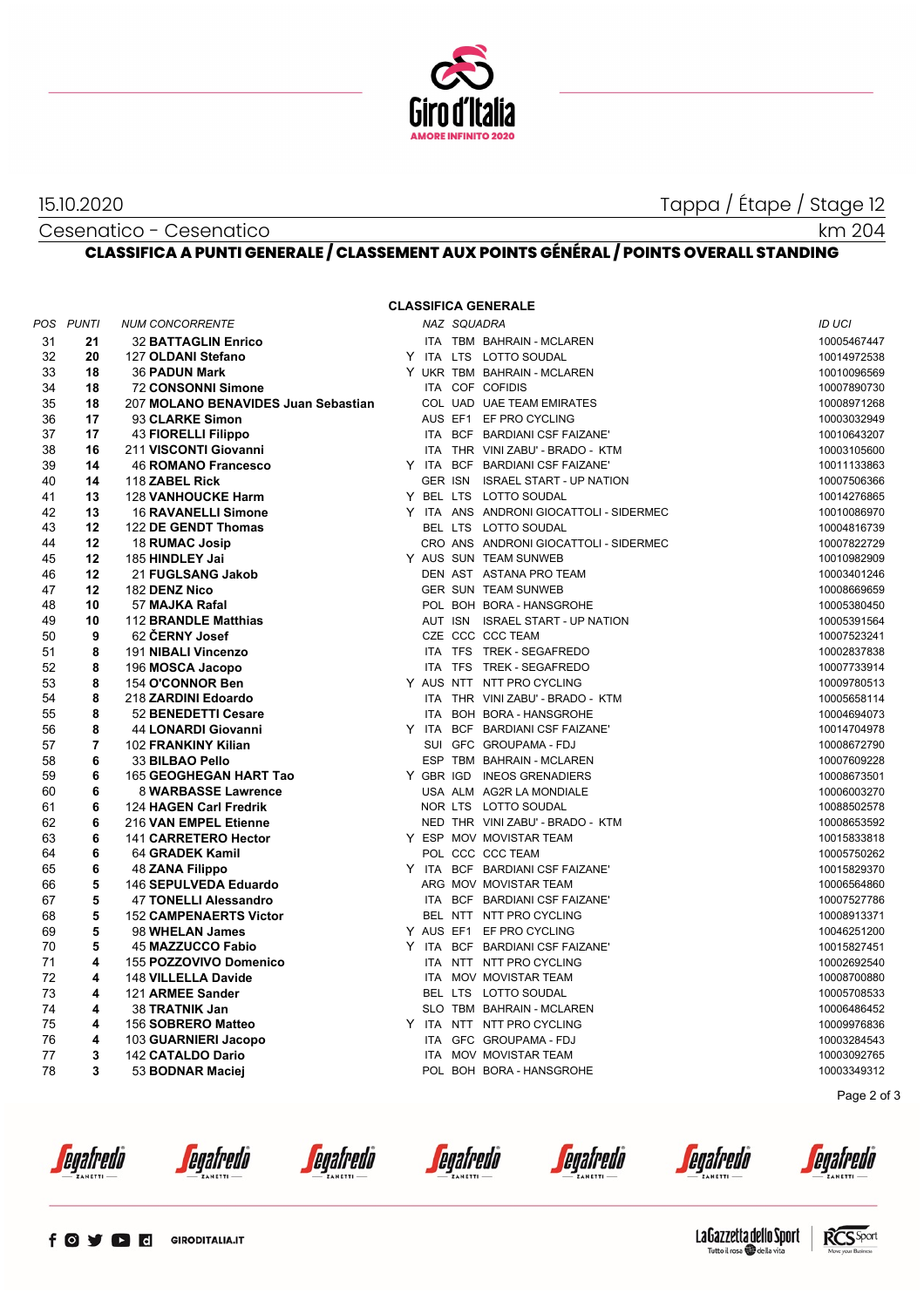

## Cesenatico - Cesenatico

# 15.10.2020 Tappa / Étape / Stage 12

## **CLASSIFICA A PUNTI GENERALE / CLASSEMENT AUX POINTS GÉNÉRAL / POINTS OVERALL STANDING**

#### **CLASSIFICA GENERALE**

|    | POS PUNTI      | <b>NUM CONCORRENTE</b>              |  | NAZ SQUADRA |                                         | <b>ID UCI</b> |
|----|----------------|-------------------------------------|--|-------------|-----------------------------------------|---------------|
| 31 | 21             | <b>32 BATTAGLIN Enrico</b>          |  |             | ITA TBM BAHRAIN - MCLAREN               | 10005467447   |
| 32 | 20             | 127 OLDANI Stefano                  |  |             | Y ITA LTS LOTTO SOUDAL                  | 10014972538   |
| 33 | 18             | <b>36 PADUN Mark</b>                |  |             | Y UKR TBM BAHRAIN - MCLAREN             | 10010096569   |
| 34 | 18             | <b>72 CONSONNI Simone</b>           |  |             | ITA COF COFIDIS                         | 10007890730   |
| 35 | 18             | 207 MOLANO BENAVIDES Juan Sebastian |  |             | COL UAD UAE TEAM EMIRATES               | 10008971268   |
| 36 | 17             | 93 CLARKE Simon                     |  |             | AUS EF1 EF PRO CYCLING                  | 10003032949   |
| 37 | 17             | <b>43 FIORELLI Filippo</b>          |  |             | ITA BCF BARDIANI CSF FAIZANE'           | 10010643207   |
| 38 | 16             | 211 VISCONTI Giovanni               |  |             | ITA THR VINI ZABU' - BRADO - KTM        | 10003105600   |
| 39 | 14             | <b>46 ROMANO Francesco</b>          |  |             | Y ITA BCF BARDIANI CSF FAIZANE'         | 10011133863   |
| 40 | 14             | 118 ZABEL Rick                      |  |             | GER ISN ISRAEL START - UP NATION        | 10007506366   |
| 41 | 13             | <b>128 VANHOUCKE Harm</b>           |  |             | Y BEL LTS LOTTO SOUDAL                  | 10014276865   |
| 42 | 13             | <b>16 RAVANELLI Simone</b>          |  |             | Y ITA ANS ANDRONI GIOCATTOLI - SIDERMEC | 10010086970   |
| 43 | 12             | 122 DE GENDT Thomas                 |  |             | BEL LTS LOTTO SOUDAL                    | 10004816739   |
| 44 | 12             | 18 RUMAC Josip                      |  |             | CRO ANS ANDRONI GIOCATTOLI - SIDERMEC   | 10007822729   |
| 45 | 12             | 185 HINDLEY Jai                     |  |             | Y AUS SUN TEAM SUNWEB                   | 10010982909   |
| 46 | 12             |                                     |  |             |                                         |               |
|    |                | 21 FUGLSANG Jakob                   |  |             | DEN AST ASTANA PRO TEAM                 | 10003401246   |
| 47 | 12             | 182 DENZ Nico                       |  |             | <b>GER SUN TEAM SUNWEB</b>              | 10008669659   |
| 48 | 10             | 57 MAJKA Rafal                      |  |             | POL BOH BORA - HANSGROHE                | 10005380450   |
| 49 | 10             | 112 BRANDLE Matthias                |  |             | AUT ISN ISRAEL START - UP NATION        | 10005391564   |
| 50 | 9              | 62 CERNY Josef                      |  |             | CZE CCC CCC TEAM                        | 10007523241   |
| 51 | 8              | 191 NIBALI Vincenzo                 |  |             | ITA TFS TREK - SEGAFREDO                | 10002837838   |
| 52 | 8              | 196 MOSCA Jacopo                    |  |             | ITA TFS TREK - SEGAFREDO                | 10007733914   |
| 53 | 8              | 154 O'CONNOR Ben                    |  |             | Y AUS NTT NTT PRO CYCLING               | 10009780513   |
| 54 | 8              | 218 ZARDINI Edoardo                 |  |             | ITA THR VINI ZABU' - BRADO - KTM        | 10005658114   |
| 55 | 8              | 52 BENEDETTI Cesare                 |  |             | ITA BOH BORA - HANSGROHE                | 10004694073   |
| 56 | 8              | 44 LONARDI Giovanni                 |  |             | Y ITA BCF BARDIANI CSF FAIZANE'         | 10014704978   |
| 57 | $\overline{7}$ | 102 FRANKINY Kilian                 |  |             | SUI GFC GROUPAMA - FDJ                  | 10008672790   |
| 58 | 6              | 33 BILBAO Pello                     |  |             | ESP TBM BAHRAIN - MCLAREN               | 10007609228   |
| 59 | 6              | 165 GEOGHEGAN HART Tao              |  |             | Y GBR IGD INEOS GRENADIERS              | 10008673501   |
| 60 | 6              | 8 WARBASSE Lawrence                 |  |             | USA ALM AG2R LA MONDIALE                | 10006003270   |
| 61 | 6              | 124 HAGEN Carl Fredrik              |  |             | NOR LTS LOTTO SOUDAL                    | 10088502578   |
| 62 | 6              | 216 VAN EMPEL Etienne               |  |             | NED THR VINI ZABU' - BRADO - KTM        | 10008653592   |
| 63 | 6              | 141 CARRETERO Hector                |  |             | Y ESP MOV MOVISTAR TEAM                 | 10015833818   |
| 64 | 6              | 64 GRADEK Kamil                     |  |             | POL CCC CCC TEAM                        | 10005750262   |
| 65 | 6              | 48 ZANA Filippo                     |  |             | Y ITA BCF BARDIANI CSF FAIZANE'         | 10015829370   |
| 66 | 5              | 146 SEPULVEDA Eduardo               |  |             | ARG MOV MOVISTAR TEAM                   | 10006564860   |
| 67 | 5              | <b>47 TONELLI Alessandro</b>        |  |             | ITA BCF BARDIANI CSF FAIZANE'           | 10007527786   |
| 68 | 5              | <b>152 CAMPENAERTS Victor</b>       |  |             | BEL NTT NTT PRO CYCLING                 | 10008913371   |
| 69 | 5              | 98 WHELAN James                     |  |             | Y AUS EF1 EF PRO CYCLING                | 10046251200   |
| 70 | 5              | <b>45 MAZZUCCO Fabio</b>            |  |             | Y ITA BCF BARDIANI CSF FAIZANE'         | 10015827451   |
| 71 | 4              | 155 POZZOVIVO Domenico              |  |             | ITA NTT NTT PRO CYCLING                 | 10002692540   |
| 72 | 4              | 148 VILLELLA Davide                 |  |             | ITA MOV MOVISTAR TEAM                   | 10008700880   |
| 73 | 4              | 121 ARMEE Sander                    |  |             | BEL LTS LOTTO SOUDAL                    | 10005708533   |
| 74 | 4              | 38 TRATNIK Jan                      |  |             | SLO TBM BAHRAIN - MCLAREN               | 10006486452   |
| 75 | 4              | 156 SOBRERO Matteo                  |  |             | Y ITA NTT NTT PRO CYCLING               | 10009976836   |
| 76 | 4              | 103 GUARNIERI Jacopo                |  |             | ITA GFC GROUPAMA - FDJ                  | 10003284543   |
| 77 | 3              | 142 CATALDO Dario                   |  |             | ITA MOV MOVISTAR TEAM                   | 10003092765   |
| 78 | 3              | 53 BODNAR Maciej                    |  |             | POL BOH BORA - HANSGROHE                | 10003349312   |
|    |                |                                     |  |             |                                         |               |

Page 2 of 3

*<u>egafredo</u>* 

*<u>egafredò</u>* 

*<u>egafredò</u>* 

*<u>egafredo</u>* 

*<u>egafredò</u>* 

*<u>egafredo</u>*